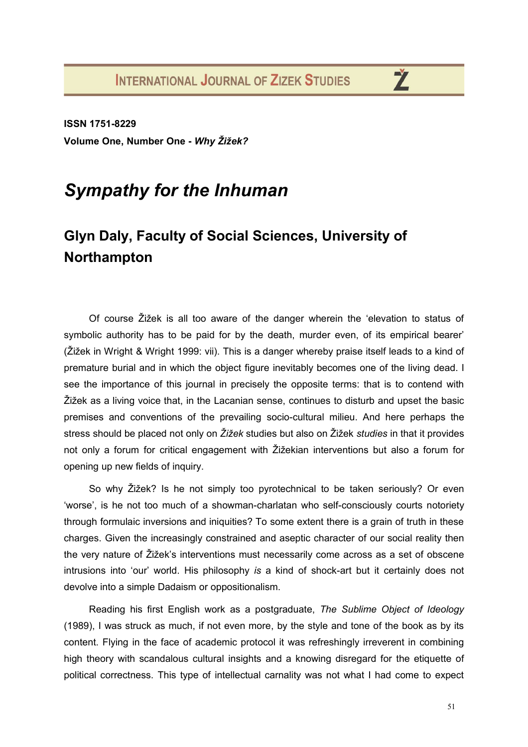**ISSN 1751-8229 Volume One, Number One -** *Why Žižek?*

## *Sympathy for the Inhuman*

## **Glyn Daly, Faculty of Social Sciences, University of Northampton**

Of course Žižek is all too aware of the danger wherein the 'elevation to status of symbolic authority has to be paid for by the death, murder even, of its empirical bearer' (Žižek in Wright & Wright 1999: vii). This is a danger whereby praise itself leads to a kind of premature burial and in which the object figure inevitably becomes one of the living dead. I see the importance of this journal in precisely the opposite terms: that is to contend with Žižek as a living voice that, in the Lacanian sense, continues to disturb and upset the basic premises and conventions of the prevailing socio-cultural milieu. And here perhaps the stress should be placed not only on *Žižek* studies but also on Žižek *studies* in that it provides not only a forum for critical engagement with Žižekian interventions but also a forum for opening up new fields of inquiry.

So why Žižek? Is he not simply too pyrotechnical to be taken seriously? Or even 'worse', is he not too much of a showman-charlatan who self-consciously courts notoriety through formulaic inversions and iniquities? To some extent there is a grain of truth in these charges. Given the increasingly constrained and aseptic character of our social reality then the very nature of Žižek's interventions must necessarily come across as a set of obscene intrusions into 'our' world. His philosophy *is* a kind of shock-art but it certainly does not devolve into a simple Dadaism or oppositionalism.

Reading his first English work as a postgraduate, *The Sublime Object of Ideology* (1989), I was struck as much, if not even more, by the style and tone of the book as by its content. Flying in the face of academic protocol it was refreshingly irreverent in combining high theory with scandalous cultural insights and a knowing disregard for the etiquette of political correctness. This type of intellectual carnality was not what I had come to expect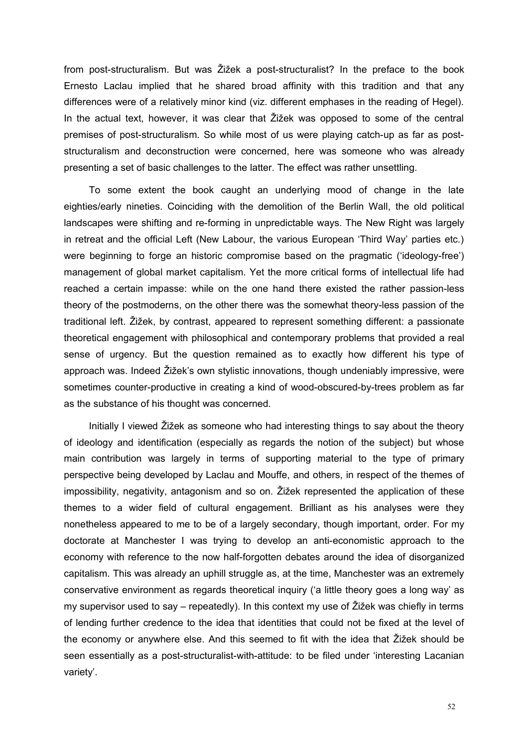from post-structuralism. But was Žižek a post-structuralist? In the preface to the book Ernesto Laclau implied that he shared broad affinity with this tradition and that any differences were of a relatively minor kind (viz. different emphases in the reading of Hegel). In the actual text, however, it was clear that Žižek was opposed to some of the central premises of post-structuralism. So while most of us were playing catch-up as far as poststructuralism and deconstruction were concerned, here was someone who was already presenting a set of basic challenges to the latter. The effect was rather unsettling.

To some extent the book caught an underlying mood of change in the late eighties/early nineties. Coinciding with the demolition of the Berlin Wall, the old political landscapes were shifting and re-forming in unpredictable ways. The New Right was largely in retreat and the official Left (New Labour, the various European 'Third Way' parties etc.) were beginning to forge an historic compromise based on the pragmatic ('ideology-free') management of global market capitalism. Yet the more critical forms of intellectual life had reached a certain impasse: while on the one hand there existed the rather passion-less theory of the postmoderns, on the other there was the somewhat theory-less passion of the traditional left. Žižek, by contrast, appeared to represent something different: a passionate theoretical engagement with philosophical and contemporary problems that provided a real sense of urgency. But the question remained as to exactly how different his type of approach was. Indeed Žižek's own stylistic innovations, though undeniably impressive, were sometimes counter-productive in creating a kind of wood-obscured-by-trees problem as far as the substance of his thought was concerned.

Initially I viewed Žižek as someone who had interesting things to say about the theory of ideology and identification (especially as regards the notion of the subject) but whose main contribution was largely in terms of supporting material to the type of primary perspective being developed by Laclau and Mouffe, and others, in respect of the themes of impossibility, negativity, antagonism and so on. Žižek represented the application of these themes to a wider field of cultural engagement. Brilliant as his analyses were they nonetheless appeared to me to be of a largely secondary, though important, order. For my doctorate at Manchester I was trying to develop an anti-economistic approach to the economy with reference to the now half-forgotten debates around the idea of disorganized capitalism. This was already an uphill struggle as, at the time, Manchester was an extremely conservative environment as regards theoretical inquiry ('a little theory goes a long way' as my supervisor used to say – repeatedly). In this context my use of Žižek was chiefly in terms of lending further credence to the idea that identities that could not be fixed at the level of the economy or anywhere else. And this seemed to fit with the idea that Žižek should be seen essentially as a post-structuralist-with-attitude: to be filed under 'interesting Lacanian variety'.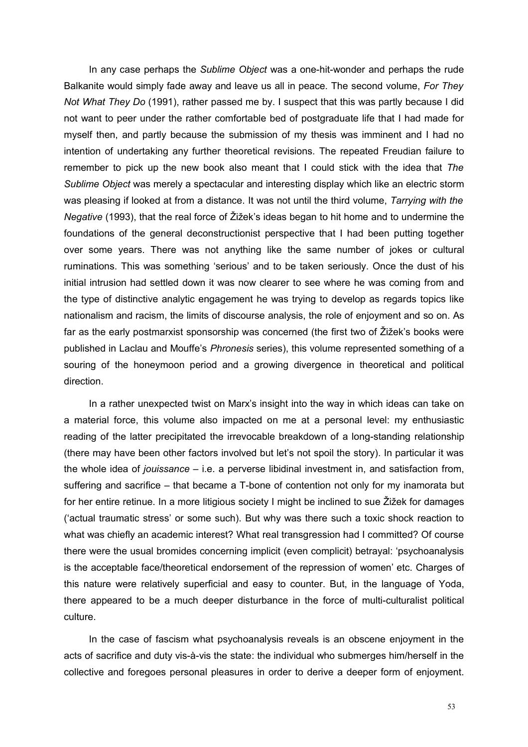In any case perhaps the *Sublime Object* was a one-hit-wonder and perhaps the rude Balkanite would simply fade away and leave us all in peace. The second volume, *For They Not What They Do* (1991), rather passed me by. I suspect that this was partly because I did not want to peer under the rather comfortable bed of postgraduate life that I had made for myself then, and partly because the submission of my thesis was imminent and I had no intention of undertaking any further theoretical revisions. The repeated Freudian failure to remember to pick up the new book also meant that I could stick with the idea that *The Sublime Object* was merely a spectacular and interesting display which like an electric storm was pleasing if looked at from a distance. It was not until the third volume, *Tarrying with the Negative* (1993), that the real force of Žižek's ideas began to hit home and to undermine the foundations of the general deconstructionist perspective that I had been putting together over some years. There was not anything like the same number of jokes or cultural ruminations. This was something 'serious' and to be taken seriously. Once the dust of his initial intrusion had settled down it was now clearer to see where he was coming from and the type of distinctive analytic engagement he was trying to develop as regards topics like nationalism and racism, the limits of discourse analysis, the role of enjoyment and so on. As far as the early postmarxist sponsorship was concerned (the first two of Žižek's books were published in Laclau and Mouffe's *Phronesis* series), this volume represented something of a souring of the honeymoon period and a growing divergence in theoretical and political direction.

In a rather unexpected twist on Marx's insight into the way in which ideas can take on a material force, this volume also impacted on me at a personal level: my enthusiastic reading of the latter precipitated the irrevocable breakdown of a long-standing relationship (there may have been other factors involved but let's not spoil the story). In particular it was the whole idea of *jouissance* – i.e. a perverse libidinal investment in, and satisfaction from, suffering and sacrifice – that became a T-bone of contention not only for my inamorata but for her entire retinue. In a more litigious society I might be inclined to sue Žižek for damages ('actual traumatic stress' or some such). But why was there such a toxic shock reaction to what was chiefly an academic interest? What real transgression had I committed? Of course there were the usual bromides concerning implicit (even complicit) betrayal: 'psychoanalysis is the acceptable face/theoretical endorsement of the repression of women' etc. Charges of this nature were relatively superficial and easy to counter. But, in the language of Yoda, there appeared to be a much deeper disturbance in the force of multi-culturalist political culture.

In the case of fascism what psychoanalysis reveals is an obscene enjoyment in the acts of sacrifice and duty vis-à-vis the state: the individual who submerges him/herself in the collective and foregoes personal pleasures in order to derive a deeper form of enjoyment.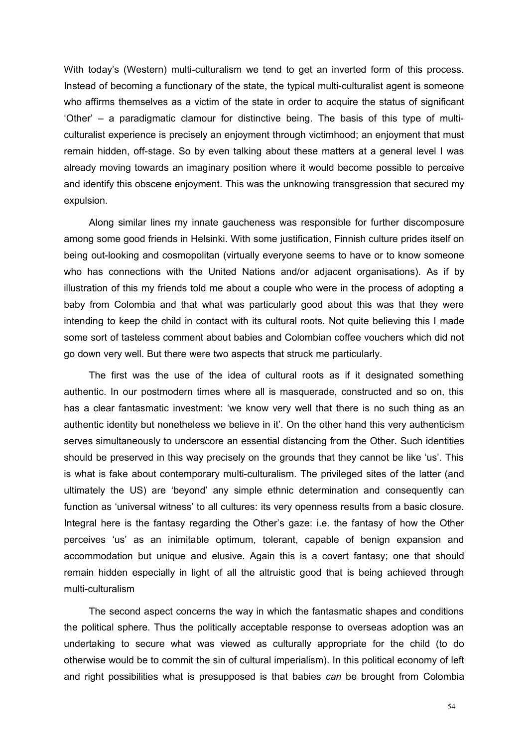With today's (Western) multi-culturalism we tend to get an inverted form of this process. Instead of becoming a functionary of the state, the typical multi-culturalist agent is someone who affirms themselves as a victim of the state in order to acquire the status of significant 'Other' – a paradigmatic clamour for distinctive being. The basis of this type of multiculturalist experience is precisely an enjoyment through victimhood; an enjoyment that must remain hidden, off-stage. So by even talking about these matters at a general level I was already moving towards an imaginary position where it would become possible to perceive and identify this obscene enjoyment. This was the unknowing transgression that secured my expulsion.

Along similar lines my innate gaucheness was responsible for further discomposure among some good friends in Helsinki. With some justification, Finnish culture prides itself on being out-looking and cosmopolitan (virtually everyone seems to have or to know someone who has connections with the United Nations and/or adjacent organisations). As if by illustration of this my friends told me about a couple who were in the process of adopting a baby from Colombia and that what was particularly good about this was that they were intending to keep the child in contact with its cultural roots. Not quite believing this I made some sort of tasteless comment about babies and Colombian coffee vouchers which did not go down very well. But there were two aspects that struck me particularly.

The first was the use of the idea of cultural roots as if it designated something authentic. In our postmodern times where all is masquerade, constructed and so on, this has a clear fantasmatic investment: 'we know very well that there is no such thing as an authentic identity but nonetheless we believe in it'. On the other hand this very authenticism serves simultaneously to underscore an essential distancing from the Other. Such identities should be preserved in this way precisely on the grounds that they cannot be like 'us'. This is what is fake about contemporary multi-culturalism. The privileged sites of the latter (and ultimately the US) are 'beyond' any simple ethnic determination and consequently can function as 'universal witness' to all cultures: its very openness results from a basic closure. Integral here is the fantasy regarding the Other's gaze: i.e. the fantasy of how the Other perceives 'us' as an inimitable optimum, tolerant, capable of benign expansion and accommodation but unique and elusive. Again this is a covert fantasy; one that should remain hidden especially in light of all the altruistic good that is being achieved through multi-culturalism

The second aspect concerns the way in which the fantasmatic shapes and conditions the political sphere. Thus the politically acceptable response to overseas adoption was an undertaking to secure what was viewed as culturally appropriate for the child (to do otherwise would be to commit the sin of cultural imperialism). In this political economy of left and right possibilities what is presupposed is that babies *can* be brought from Colombia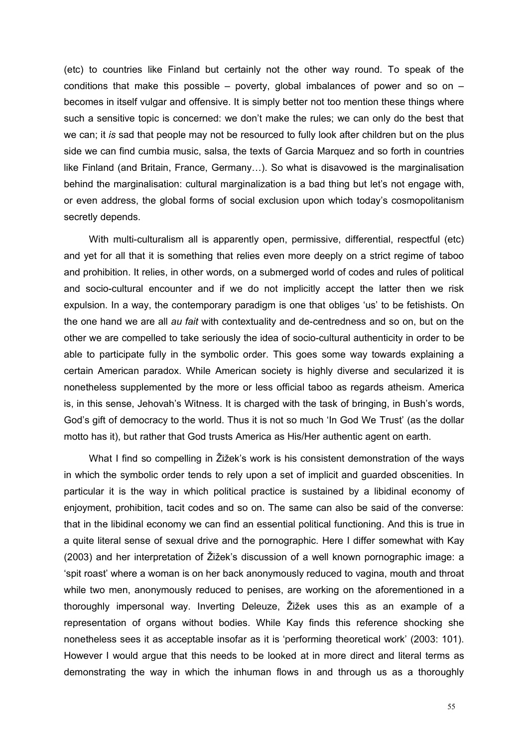(etc) to countries like Finland but certainly not the other way round. To speak of the conditions that make this possible – poverty, global imbalances of power and so on – becomes in itself vulgar and offensive. It is simply better not too mention these things where such a sensitive topic is concerned: we don't make the rules; we can only do the best that we can; it *is* sad that people may not be resourced to fully look after children but on the plus side we can find cumbia music, salsa, the texts of Garcia Marquez and so forth in countries like Finland (and Britain, France, Germany…). So what is disavowed is the marginalisation behind the marginalisation: cultural marginalization is a bad thing but let's not engage with, or even address, the global forms of social exclusion upon which today's cosmopolitanism secretly depends.

With multi-culturalism all is apparently open, permissive, differential, respectful (etc) and yet for all that it is something that relies even more deeply on a strict regime of taboo and prohibition. It relies, in other words, on a submerged world of codes and rules of political and socio-cultural encounter and if we do not implicitly accept the latter then we risk expulsion. In a way, the contemporary paradigm is one that obliges 'us' to be fetishists. On the one hand we are all *au fait* with contextuality and de-centredness and so on, but on the other we are compelled to take seriously the idea of socio-cultural authenticity in order to be able to participate fully in the symbolic order. This goes some way towards explaining a certain American paradox. While American society is highly diverse and secularized it is nonetheless supplemented by the more or less official taboo as regards atheism. America is, in this sense, Jehovah's Witness. It is charged with the task of bringing, in Bush's words, God's gift of democracy to the world. Thus it is not so much 'In God We Trust' (as the dollar motto has it), but rather that God trusts America as His/Her authentic agent on earth.

What I find so compelling in Žižek's work is his consistent demonstration of the ways in which the symbolic order tends to rely upon a set of implicit and guarded obscenities. In particular it is the way in which political practice is sustained by a libidinal economy of enjoyment, prohibition, tacit codes and so on. The same can also be said of the converse: that in the libidinal economy we can find an essential political functioning. And this is true in a quite literal sense of sexual drive and the pornographic. Here I differ somewhat with Kay (2003) and her interpretation of Žižek's discussion of a well known pornographic image: a 'spit roast' where a woman is on her back anonymously reduced to vagina, mouth and throat while two men, anonymously reduced to penises, are working on the aforementioned in a thoroughly impersonal way. Inverting Deleuze, Žižek uses this as an example of a representation of organs without bodies. While Kay finds this reference shocking she nonetheless sees it as acceptable insofar as it is 'performing theoretical work' (2003: 101). However I would argue that this needs to be looked at in more direct and literal terms as demonstrating the way in which the inhuman flows in and through us as a thoroughly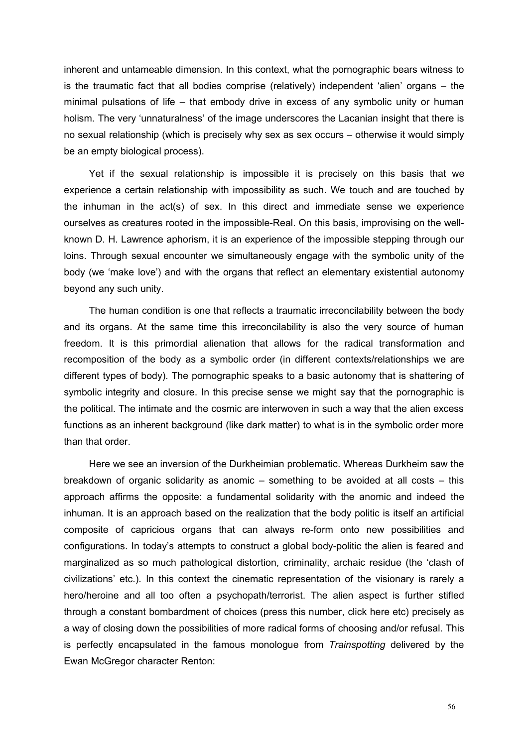inherent and untameable dimension. In this context, what the pornographic bears witness to is the traumatic fact that all bodies comprise (relatively) independent 'alien' organs – the minimal pulsations of life – that embody drive in excess of any symbolic unity or human holism. The very 'unnaturalness' of the image underscores the Lacanian insight that there is no sexual relationship (which is precisely why sex as sex occurs – otherwise it would simply be an empty biological process).

Yet if the sexual relationship is impossible it is precisely on this basis that we experience a certain relationship with impossibility as such. We touch and are touched by the inhuman in the act(s) of sex. In this direct and immediate sense we experience ourselves as creatures rooted in the impossible-Real. On this basis, improvising on the wellknown D. H. Lawrence aphorism, it is an experience of the impossible stepping through our loins. Through sexual encounter we simultaneously engage with the symbolic unity of the body (we 'make love') and with the organs that reflect an elementary existential autonomy beyond any such unity.

The human condition is one that reflects a traumatic irreconcilability between the body and its organs. At the same time this irreconcilability is also the very source of human freedom. It is this primordial alienation that allows for the radical transformation and recomposition of the body as a symbolic order (in different contexts/relationships we are different types of body). The pornographic speaks to a basic autonomy that is shattering of symbolic integrity and closure. In this precise sense we might say that the pornographic is the political. The intimate and the cosmic are interwoven in such a way that the alien excess functions as an inherent background (like dark matter) to what is in the symbolic order more than that order.

Here we see an inversion of the Durkheimian problematic. Whereas Durkheim saw the breakdown of organic solidarity as anomic – something to be avoided at all costs – this approach affirms the opposite: a fundamental solidarity with the anomic and indeed the inhuman. It is an approach based on the realization that the body politic is itself an artificial composite of capricious organs that can always re-form onto new possibilities and configurations. In today's attempts to construct a global body-politic the alien is feared and marginalized as so much pathological distortion, criminality, archaic residue (the 'clash of civilizations' etc.). In this context the cinematic representation of the visionary is rarely a hero/heroine and all too often a psychopath/terrorist. The alien aspect is further stifled through a constant bombardment of choices (press this number, click here etc) precisely as a way of closing down the possibilities of more radical forms of choosing and/or refusal. This is perfectly encapsulated in the famous monologue from *Trainspotting* delivered by the Ewan McGregor character Renton: